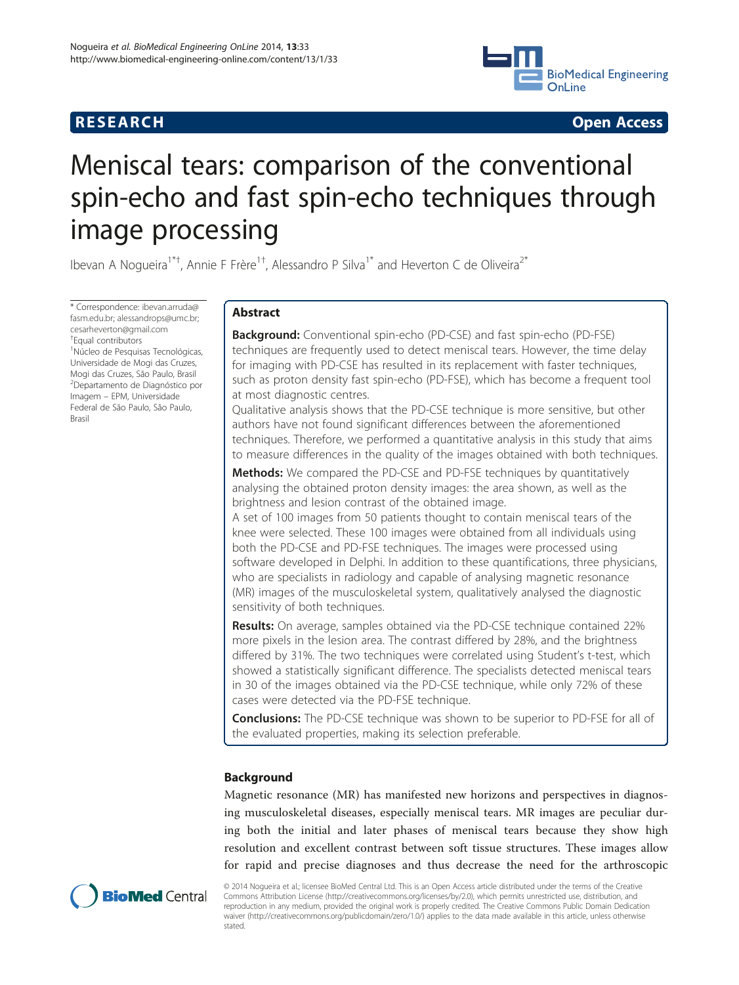## **RESEARCH CHINESE ARCH CHINESE ARCH CHINESE ARCH <b>CHINESE ARCH**



# Meniscal tears: comparison of the conventional spin-echo and fast spin-echo techniques through image processing

Ibevan A Nogueira<sup>1\*†</sup>, Annie F Frère<sup>1†</sup>, Alessandro P Silva<sup>1\*</sup> and Heverton C de Oliveira<sup>2\*</sup>

\* Correspondence: [ibevan.arruda@](mailto:ibevan.arruda@fasm.edu.br) [fasm.edu.br](mailto:ibevan.arruda@fasm.edu.br); [alessandrops@umc.br](mailto:alessandrops@umc.br); [cesarheverton@gmail.com](mailto:cesarheverton@gmail.com) † Equal contributors

1 Núcleo de Pesquisas Tecnológicas, Universidade de Mogi das Cruzes, Mogi das Cruzes, São Paulo, Brasil 2 Departamento de Diagnóstico por Imagem – EPM, Universidade Federal de São Paulo, São Paulo, Brasil

## Abstract

Background: Conventional spin-echo (PD-CSE) and fast spin-echo (PD-FSE) techniques are frequently used to detect meniscal tears. However, the time delay for imaging with PD-CSE has resulted in its replacement with faster techniques, such as proton density fast spin-echo (PD-FSE), which has become a frequent tool at most diagnostic centres.

Qualitative analysis shows that the PD-CSE technique is more sensitive, but other authors have not found significant differences between the aforementioned techniques. Therefore, we performed a quantitative analysis in this study that aims to measure differences in the quality of the images obtained with both techniques.

**Methods:** We compared the PD-CSE and PD-FSE techniques by quantitatively analysing the obtained proton density images: the area shown, as well as the brightness and lesion contrast of the obtained image.

A set of 100 images from 50 patients thought to contain meniscal tears of the knee were selected. These 100 images were obtained from all individuals using both the PD-CSE and PD-FSE techniques. The images were processed using software developed in Delphi. In addition to these quantifications, three physicians, who are specialists in radiology and capable of analysing magnetic resonance (MR) images of the musculoskeletal system, qualitatively analysed the diagnostic sensitivity of both techniques.

Results: On average, samples obtained via the PD-CSE technique contained 22% more pixels in the lesion area. The contrast differed by 28%, and the brightness differed by 31%. The two techniques were correlated using Student's t-test, which showed a statistically significant difference. The specialists detected meniscal tears in 30 of the images obtained via the PD-CSE technique, while only 72% of these cases were detected via the PD-FSE technique.

**Conclusions:** The PD-CSE technique was shown to be superior to PD-FSE for all of the evaluated properties, making its selection preferable.

## Background

Magnetic resonance (MR) has manifested new horizons and perspectives in diagnosing musculoskeletal diseases, especially meniscal tears. MR images are peculiar during both the initial and later phases of meniscal tears because they show high resolution and excellent contrast between soft tissue structures. These images allow for rapid and precise diagnoses and thus decrease the need for the arthroscopic



© 2014 Nogueira et al.; licensee BioMed Central Ltd. This is an Open Access article distributed under the terms of the Creative Commons Attribution License [\(http://creativecommons.org/licenses/by/2.0\)](http://creativecommons.org/licenses/by/2.0), which permits unrestricted use, distribution, and reproduction in any medium, provided the original work is properly credited. The Creative Commons Public Domain Dedication waiver [\(http://creativecommons.org/publicdomain/zero/1.0/\)](http://creativecommons.org/publicdomain/zero/1.0/) applies to the data made available in this article, unless otherwise stated.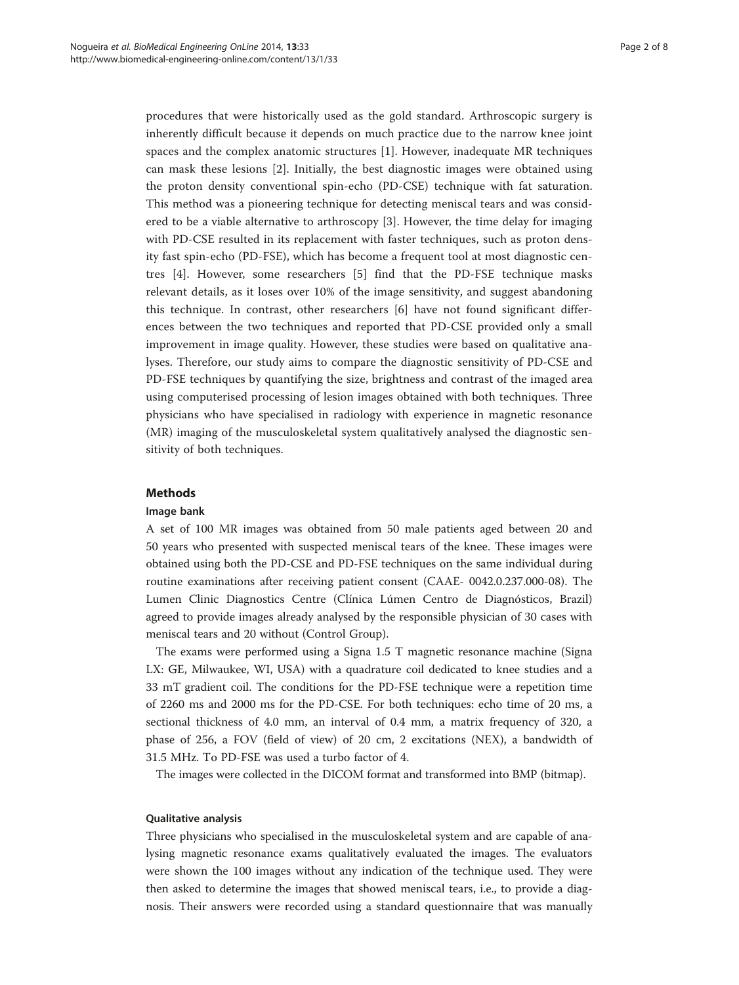procedures that were historically used as the gold standard. Arthroscopic surgery is inherently difficult because it depends on much practice due to the narrow knee joint spaces and the complex anatomic structures [[1](#page-7-0)]. However, inadequate MR techniques can mask these lesions [[2\]](#page-7-0). Initially, the best diagnostic images were obtained using the proton density conventional spin-echo (PD-CSE) technique with fat saturation. This method was a pioneering technique for detecting meniscal tears and was considered to be a viable alternative to arthroscopy [[3\]](#page-7-0). However, the time delay for imaging with PD-CSE resulted in its replacement with faster techniques, such as proton density fast spin-echo (PD-FSE), which has become a frequent tool at most diagnostic centres [\[4](#page-7-0)]. However, some researchers [[5\]](#page-7-0) find that the PD-FSE technique masks relevant details, as it loses over 10% of the image sensitivity, and suggest abandoning this technique. In contrast, other researchers [[6](#page-7-0)] have not found significant differences between the two techniques and reported that PD-CSE provided only a small improvement in image quality. However, these studies were based on qualitative analyses. Therefore, our study aims to compare the diagnostic sensitivity of PD-CSE and PD-FSE techniques by quantifying the size, brightness and contrast of the imaged area using computerised processing of lesion images obtained with both techniques. Three physicians who have specialised in radiology with experience in magnetic resonance (MR) imaging of the musculoskeletal system qualitatively analysed the diagnostic sensitivity of both techniques.

#### Methods

#### Image bank

A set of 100 MR images was obtained from 50 male patients aged between 20 and 50 years who presented with suspected meniscal tears of the knee. These images were obtained using both the PD-CSE and PD-FSE techniques on the same individual during routine examinations after receiving patient consent (CAAE- 0042.0.237.000-08). The Lumen Clinic Diagnostics Centre (Clínica Lúmen Centro de Diagnósticos, Brazil) agreed to provide images already analysed by the responsible physician of 30 cases with meniscal tears and 20 without (Control Group).

The exams were performed using a Signa 1.5 T magnetic resonance machine (Signa LX: GE, Milwaukee, WI, USA) with a quadrature coil dedicated to knee studies and a 33 mT gradient coil. The conditions for the PD-FSE technique were a repetition time of 2260 ms and 2000 ms for the PD-CSE. For both techniques: echo time of 20 ms, a sectional thickness of 4.0 mm, an interval of 0.4 mm, a matrix frequency of 320, a phase of 256, a FOV (field of view) of 20 cm, 2 excitations (NEX), a bandwidth of 31.5 MHz. To PD-FSE was used a turbo factor of 4.

The images were collected in the DICOM format and transformed into BMP (bitmap).

## Qualitative analysis

Three physicians who specialised in the musculoskeletal system and are capable of analysing magnetic resonance exams qualitatively evaluated the images. The evaluators were shown the 100 images without any indication of the technique used. They were then asked to determine the images that showed meniscal tears, i.e., to provide a diagnosis. Their answers were recorded using a standard questionnaire that was manually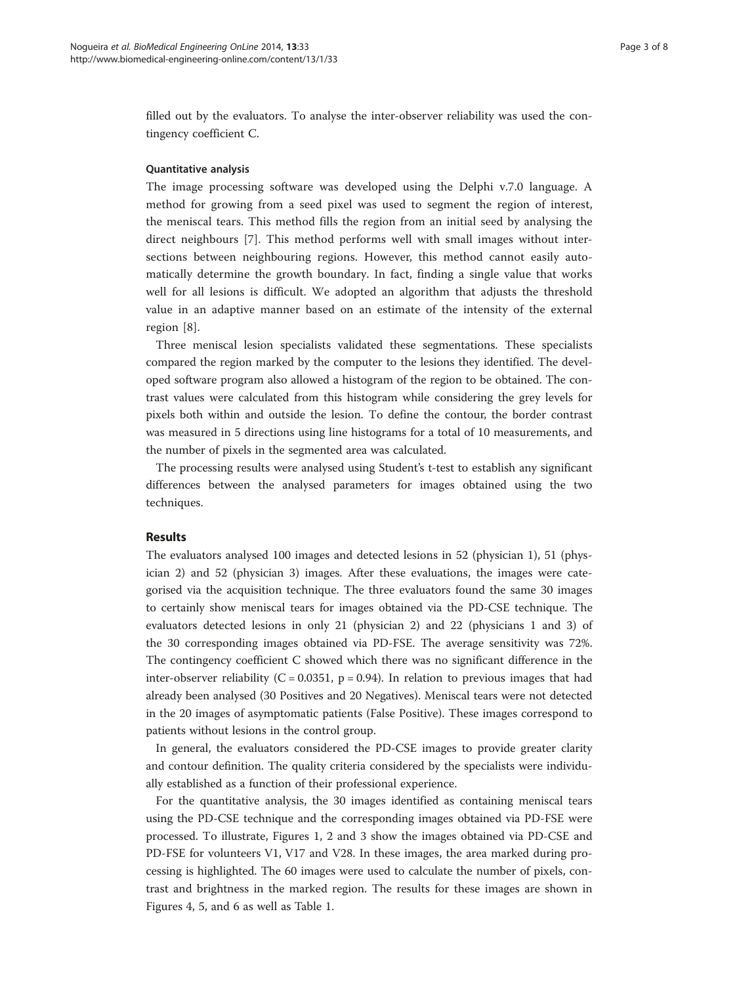filled out by the evaluators. To analyse the inter-observer reliability was used the contingency coefficient C.

### Quantitative analysis

The image processing software was developed using the Delphi v.7.0 language. A method for growing from a seed pixel was used to segment the region of interest, the meniscal tears. This method fills the region from an initial seed by analysing the direct neighbours [[7\]](#page-7-0). This method performs well with small images without intersections between neighbouring regions. However, this method cannot easily automatically determine the growth boundary. In fact, finding a single value that works well for all lesions is difficult. We adopted an algorithm that adjusts the threshold value in an adaptive manner based on an estimate of the intensity of the external region [[8\]](#page-7-0).

Three meniscal lesion specialists validated these segmentations. These specialists compared the region marked by the computer to the lesions they identified. The developed software program also allowed a histogram of the region to be obtained. The contrast values were calculated from this histogram while considering the grey levels for pixels both within and outside the lesion. To define the contour, the border contrast was measured in 5 directions using line histograms for a total of 10 measurements, and the number of pixels in the segmented area was calculated.

The processing results were analysed using Student's t-test to establish any significant differences between the analysed parameters for images obtained using the two techniques.

## Results

The evaluators analysed 100 images and detected lesions in 52 (physician 1), 51 (physician 2) and 52 (physician 3) images. After these evaluations, the images were categorised via the acquisition technique. The three evaluators found the same 30 images to certainly show meniscal tears for images obtained via the PD-CSE technique. The evaluators detected lesions in only 21 (physician 2) and 22 (physicians 1 and 3) of the 30 corresponding images obtained via PD-FSE. The average sensitivity was 72%. The contingency coefficient C showed which there was no significant difference in the inter-observer reliability ( $C = 0.0351$ ,  $p = 0.94$ ). In relation to previous images that had already been analysed (30 Positives and 20 Negatives). Meniscal tears were not detected in the 20 images of asymptomatic patients (False Positive). These images correspond to patients without lesions in the control group.

In general, the evaluators considered the PD-CSE images to provide greater clarity and contour definition. The quality criteria considered by the specialists were individually established as a function of their professional experience.

For the quantitative analysis, the 30 images identified as containing meniscal tears using the PD-CSE technique and the corresponding images obtained via PD-FSE were processed. To illustrate, Figures [1, 2](#page-3-0) and [3](#page-4-0) show the images obtained via PD-CSE and PD-FSE for volunteers V1, V17 and V28. In these images, the area marked during processing is highlighted. The 60 images were used to calculate the number of pixels, contrast and brightness in the marked region. The results for these images are shown in Figures [4](#page-4-0), [5](#page-5-0), and [6](#page-5-0) as well as Table [1](#page-6-0).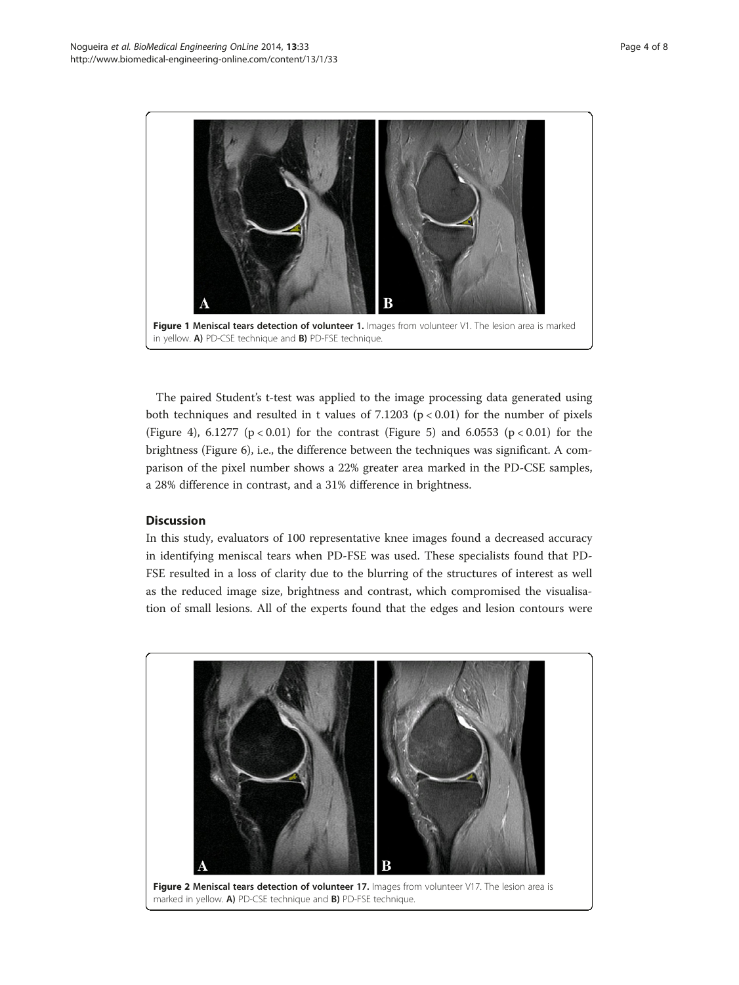<span id="page-3-0"></span>

The paired Student's t-test was applied to the image processing data generated using both techniques and resulted in t values of  $7.1203$  ( $p < 0.01$ ) for the number of pixels (Figure [4\)](#page-4-0), 6.1277 ( $p < 0.01$ ) for the contrast (Figure [5](#page-5-0)) and 6.0553 ( $p < 0.01$ ) for the brightness (Figure [6](#page-5-0)), i.e., the difference between the techniques was significant. A comparison of the pixel number shows a 22% greater area marked in the PD-CSE samples, a 28% difference in contrast, and a 31% difference in brightness.

## **Discussion**

In this study, evaluators of 100 representative knee images found a decreased accuracy in identifying meniscal tears when PD-FSE was used. These specialists found that PD-FSE resulted in a loss of clarity due to the blurring of the structures of interest as well as the reduced image size, brightness and contrast, which compromised the visualisation of small lesions. All of the experts found that the edges and lesion contours were

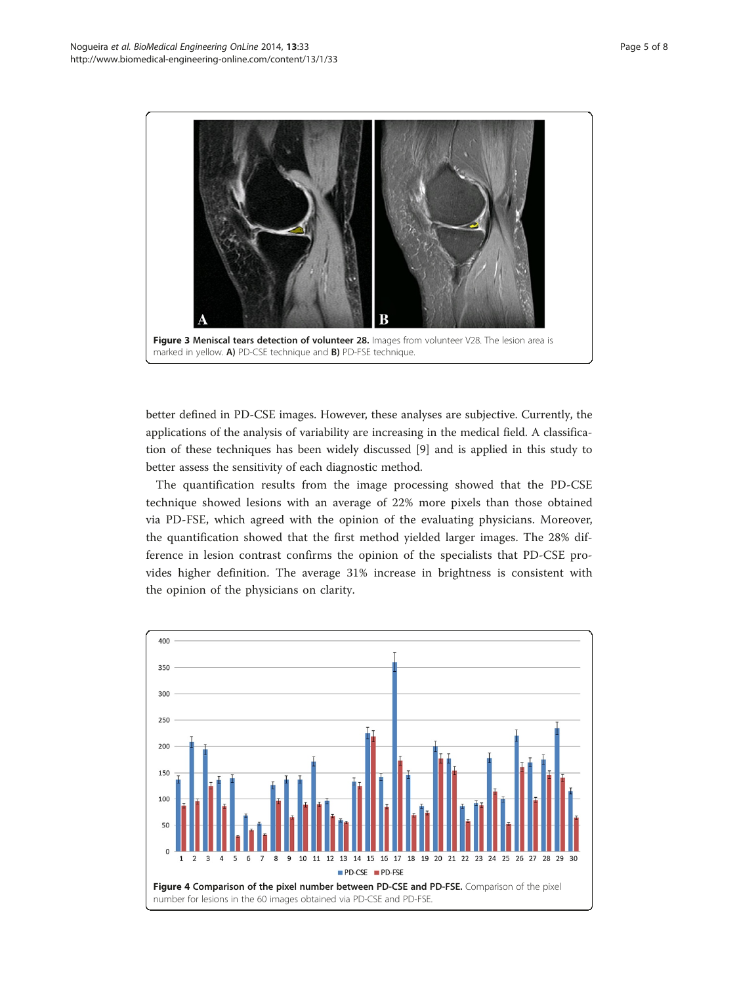<span id="page-4-0"></span>

better defined in PD-CSE images. However, these analyses are subjective. Currently, the applications of the analysis of variability are increasing in the medical field. A classification of these techniques has been widely discussed [[9](#page-7-0)] and is applied in this study to better assess the sensitivity of each diagnostic method.

The quantification results from the image processing showed that the PD-CSE technique showed lesions with an average of 22% more pixels than those obtained via PD-FSE, which agreed with the opinion of the evaluating physicians. Moreover, the quantification showed that the first method yielded larger images. The 28% difference in lesion contrast confirms the opinion of the specialists that PD-CSE provides higher definition. The average 31% increase in brightness is consistent with the opinion of the physicians on clarity.

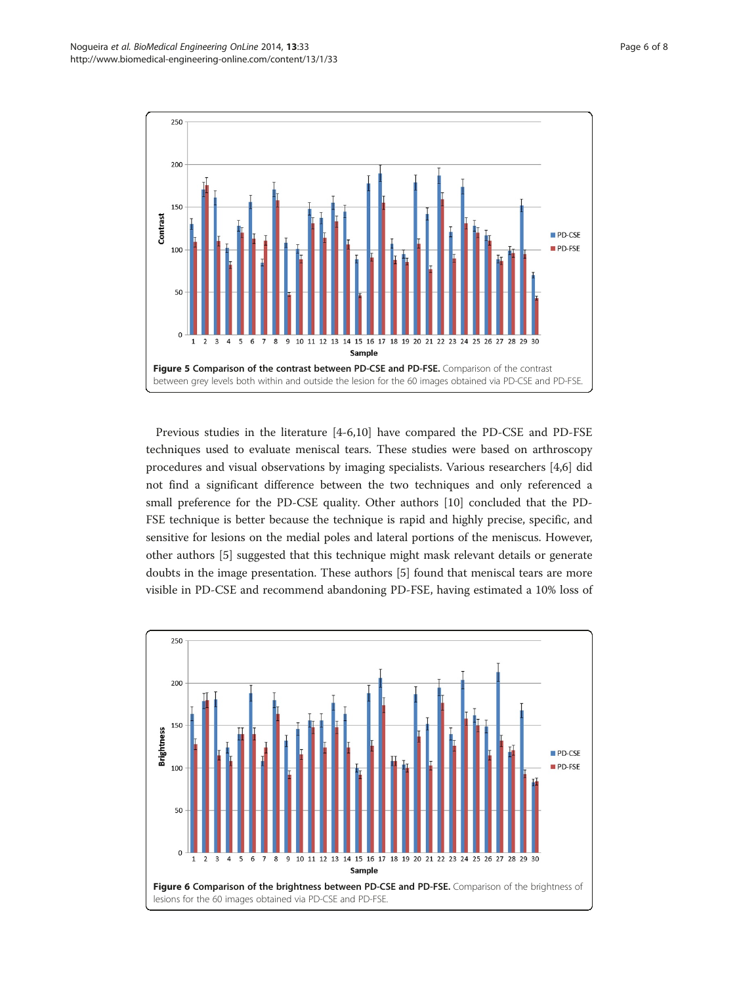<span id="page-5-0"></span>

Previous studies in the literature [\[4](#page-7-0)-[6,10\]](#page-7-0) have compared the PD-CSE and PD-FSE techniques used to evaluate meniscal tears. These studies were based on arthroscopy procedures and visual observations by imaging specialists. Various researchers [\[4,6](#page-7-0)] did not find a significant difference between the two techniques and only referenced a small preference for the PD-CSE quality. Other authors [[10\]](#page-7-0) concluded that the PD-FSE technique is better because the technique is rapid and highly precise, specific, and sensitive for lesions on the medial poles and lateral portions of the meniscus. However, other authors [[5\]](#page-7-0) suggested that this technique might mask relevant details or generate doubts in the image presentation. These authors [[5\]](#page-7-0) found that meniscal tears are more visible in PD-CSE and recommend abandoning PD-FSE, having estimated a 10% loss of

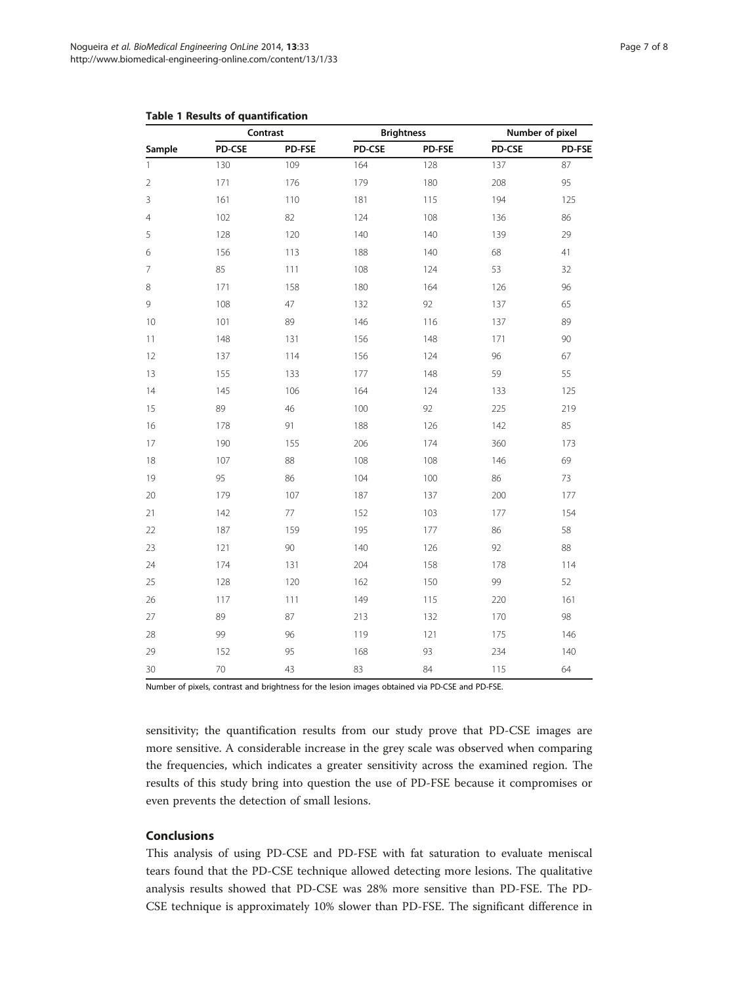| Sample         | Contrast |        | <b>Brightness</b> |        | Number of pixel |        |
|----------------|----------|--------|-------------------|--------|-----------------|--------|
|                | PD-CSE   | PD-FSE | PD-CSE            | PD-FSE | PD-CSE          | PD-FSE |
| $\mathbf{1}$   | 130      | 109    | 164               | 128    | 137             | 87     |
| $\sqrt{2}$     | 171      | 176    | 179               | 180    | 208             | 95     |
| $\mathsf 3$    | 161      | 110    | 181               | 115    | 194             | 125    |
| $\overline{4}$ | 102      | 82     | 124               | 108    | 136             | 86     |
| 5              | 128      | 120    | 140               | 140    | 139             | 29     |
| 6              | 156      | 113    | 188               | 140    | 68              | 41     |
| $\overline{7}$ | 85       | 111    | 108               | 124    | 53              | 32     |
| $\,8\,$        | 171      | 158    | 180               | 164    | 126             | 96     |
| 9              | 108      | 47     | 132               | 92     | 137             | 65     |
| 10             | 101      | 89     | 146               | 116    | 137             | 89     |
| 11             | 148      | 131    | 156               | 148    | 171             | 90     |
| 12             | 137      | 114    | 156               | 124    | 96              | 67     |
| 13             | 155      | 133    | 177               | 148    | 59              | 55     |
| 14             | 145      | 106    | 164               | 124    | 133             | 125    |
| 15             | 89       | 46     | 100               | 92     | 225             | 219    |
| 16             | 178      | 91     | 188               | 126    | 142             | 85     |
| 17             | 190      | 155    | 206               | 174    | 360             | 173    |
| 18             | 107      | 88     | 108               | 108    | 146             | 69     |
| 19             | 95       | 86     | 104               | 100    | 86              | 73     |
| 20             | 179      | 107    | 187               | 137    | 200             | 177    |
| 21             | 142      | 77     | 152               | 103    | 177             | 154    |
| 22             | 187      | 159    | 195               | 177    | 86              | 58     |
| 23             | 121      | 90     | 140               | 126    | 92              | 88     |
| 24             | 174      | 131    | 204               | 158    | 178             | 114    |
| 25             | 128      | 120    | 162               | 150    | 99              | 52     |
| 26             | 117      | 111    | 149               | 115    | 220             | 161    |
| 27             | 89       | 87     | 213               | 132    | 170             | 98     |
| 28             | 99       | 96     | 119               | 121    | 175             | 146    |
| 29             | 152      | 95     | 168               | 93     | 234             | 140    |
| 30             | 70       | 43     | 83                | 84     | 115             | 64     |

## <span id="page-6-0"></span>Table 1 Results of quantification

Number of pixels, contrast and brightness for the lesion images obtained via PD-CSE and PD-FSE.

sensitivity; the quantification results from our study prove that PD-CSE images are more sensitive. A considerable increase in the grey scale was observed when comparing the frequencies, which indicates a greater sensitivity across the examined region. The results of this study bring into question the use of PD-FSE because it compromises or even prevents the detection of small lesions.

## Conclusions

This analysis of using PD-CSE and PD-FSE with fat saturation to evaluate meniscal tears found that the PD-CSE technique allowed detecting more lesions. The qualitative analysis results showed that PD-CSE was 28% more sensitive than PD-FSE. The PD-CSE technique is approximately 10% slower than PD-FSE. The significant difference in